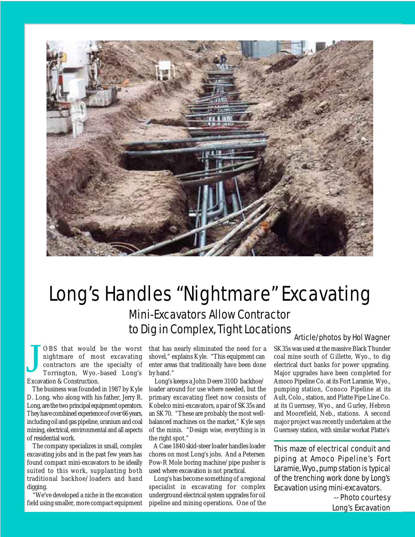

## Long's Handles "Nightmare" Excavating

Mini-Excavators Allow Contractor to Dig in Complex, Tight Locations

J OBS that would be the worst nightmare of most excavating contractors are the specialty of Torrington, Wyo.-based Long's Excavation & Construction.

 The business was founded in 1987 by Kyle D. Long, who along with his father, Jerry R. Long, are the two principal equipment operators. They have combined experience of over 66 years, including oil and gas pipeline, uranium and coal mining, electrical, environmental and all aspects of residential work.

 The company specializes in small, complex excavating jobs and in the past few years has found compact mini-excavators to be ideally suited to this work, supplanting both traditional backhoe/loaders and hand digging.

 "We've developed a niche in the excavation field using smaller, more compact equipment that has nearly eliminated the need for a shovel," explains Kyle. "This equipment can enter areas that traditionally have been done by hand."

 Long's keeps a John Deere 310D backhoe/ loader around for use where needed, but the primary excavating fleet now consists of Kobelco mini-excavators, a pair of SK35s and an SK70. "These are probably the most wellbalanced machines on the market," Kyle says of the minis. "Design wise, everything is in the right spot."

 A Case 1840 skid-steer loader handles loader chores on most Long's jobs. And a Petersen Pow-R Mole boring machine/pipe pusher is used where excavation is not practical.

 Long's has become something of a regional specialist in excavating for complex underground electrical system upgrades for oil pipeline and mining operations. One of the

## Article/photos by Hol Wagner

SK35s was used at the massive Black Thunder coal mine south of Gillette, Wyo., to dig electrical duct banks for power upgrading. Major upgrades have been completed for Amoco Pipeline Co. at its Fort Laramie, Wyo., pumping station, Conoco Pipeline at its Ault, Colo., station, and Platte Pipe Line Co. at its Guernsey, Wyo., and Gurley, Hebron and Moorefield, Neb., stations. A second major project was recently undertaken at the Guernsey station, with similar workat Platte's

This maze of electrical conduit and piping at Amoco Pipeline's Fort Laramie, Wyo., pump station is typical of the trenching work done by Long's Excavation using mini-excavators.

> -- Photo courtesy Long's Excavation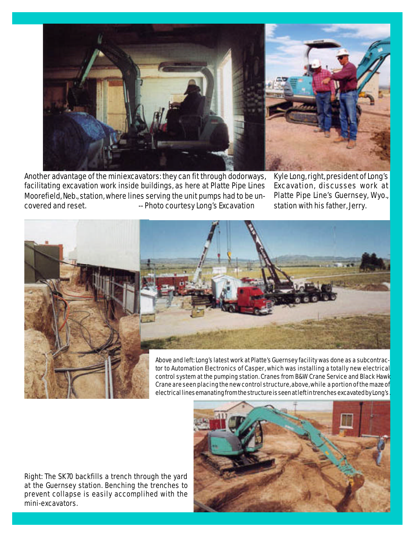

Another advantage of the miniexcavators: they can fit through dodorways, facilitating excavation work inside buildings, as here at Platte Pipe Lines Moorefield, Neb., station, where lines serving the unit pumps had to be uncovered and reset.  $\qquad \qquad -$  Photo courtesy Long's Excavation

Kyle Long, right, president of Long's Excavation, discusses work at Platte Pipe Line's Guernsey, Wyo., station with his father, Jerry.



control system at the pumping station. Cranes from B&W Crane Service and Black Hawk Crane are seen placing the new control structure, above, while a portion of the maze of electrical lines emanating from the structure is seen at left in trenches excavated by Long's.

Right: The SK70 backfills a trench through the yard at the Guernsey station. Benching the trenches to prevent collapse is easily accomplihed with the mini-excavators.

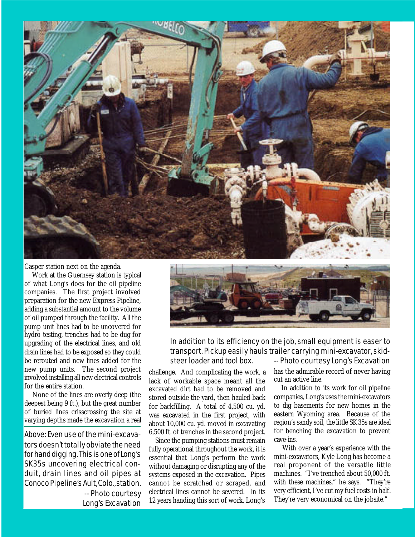

Casper station next on the agenda.

 Work at the Guernsey station is typical of what Long's does for the oil pipeline companies. The first project involved preparation for the new Express Pipeline, adding a substantial amount to the volume of oil pumped through the facility. All the pump unit lines had to be uncovered for hydro testing, trenches had to be dug for upgrading of the electrical lines, and old drain lines had to be exposed so they could be rerouted and new lines added for the new pump units. The second project involved installing all new electrical controls for the entire station.

 None of the lines are overly deep (the deepest being 9 ft.), but the great number of buried lines crisscrossing the site at varying depths made the excavation a real

Above: Even use of the mini-excavators doesn't totally obviate the need for hand digging. This is one of Long's SK35s uncovering electrical conduit, drain lines and oil pipes at Conoco Pipeline's Ault, Colo., station. -- Photo courtesy Long's Excavation



In addition to its efficiency on the job, small equipment is easer to transport. Pickup easily hauls trailer carrying mini-excavator, skid-

challenge. And complicating the work, a lack of workable space meant all the excavated dirt had to be removed and stored outside the yard, then hauled back for backfilling. A total of 4,500 cu. yd. was excavated in the first project, with about 10,000 cu. yd. moved in excavating 6,500 ft. of trenches in the second project.

 Since the pumping stations must remain fully operational throughout the work, it is essential that Long's perform the work without damaging or disrupting any of the systems exposed in the excavation. Pipes cannot be scratched or scraped, and electrical lines cannot be severed. In its 12 years handing this sort of work, Long's

steer loader and tool box. -- Photo courtesy Long's Excavation has the admirable record of never having cut an active line.

> In addition to its work for oil pipeline companies, Long's uses the mini-excavators to dig basements for new homes in the eastern Wyoming area. Because of the region's sandy soil, the little SK35s are ideal for benching the excavation to prevent cave-ins.

> With over a year's experience with the mini-excavators, Kyle Long has become a real proponent of the versatile little machines. "I've trenched about 50,000 ft. with these machines," he says. "They're very efficient, I've cut my fuel costs in half. They're very economical on the jobsite."